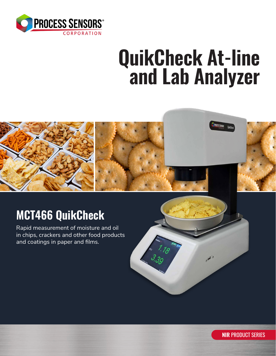

# **QuikCheck At-line and Lab Analyzer**



## **MCT466 QuikCheck**

Rapid measurement of moisture and oil in chips, crackers and other food products and coatings in paper and films.



**NIR** PRODUCT SERIES